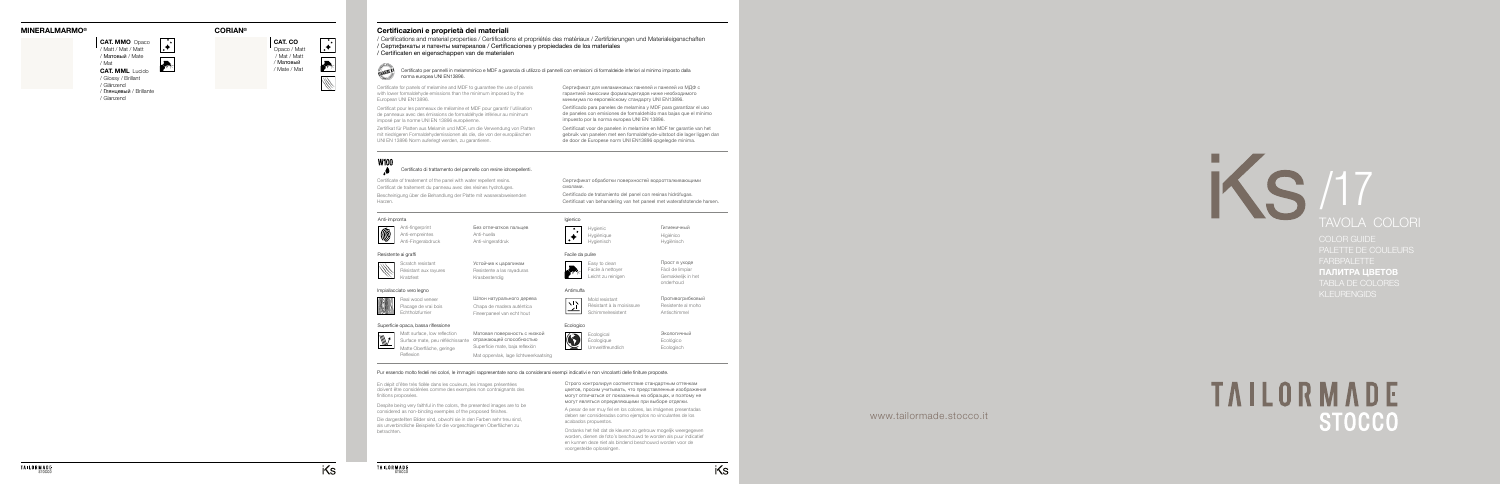

# TAVOLA COLORI

COLOR GUIDE FARBPALETTE ПАЛИТРА ЦВЕТОВ TABLA DE COLORES KLEURENGIDS

# **TAILORMADE**

## **MINERALMARMO ®**



/ Glossy / Brillant / Glänzend / Глянцевый / Brillante / Glanzend

**CAT. MML** Lucido **CAT. MMO** Opaco / Matt / Mat / Matt / Матовый / Mate / Mat

 $|\star|$ 

> Anti-empreintes **Anti-huella** Anti-Fingerabdruck Anti-vingerafdruk

Без отпечатков пальцев





Hygienic Гигиеничный<br>
Hygiénique Higiénico<br>
Hygienisch Hygiënisch<br>
Hygiënisch Hygiënisch Hygiénique **Higiénico** Hygienisch Hygiënisch

### Anti-impronta



**Easy to clean** Прост в уходе Facile à nettoyer<br>
Facil de limpiar Leicht zu reinigen Gemakkelijk in het onderhoud

Real wood veneer **Шпон натурального дерева** Placage de vrai bois Chapa de madera auténtica Echtholzfurnier Fineerpaneel van echt hout

### Resistente ai graffi



Kratzfest Krasbestendig

Scratch resistant **Устойчив к царапинам** Résistant aux rayures Resistente a las rayaduras

> Ecological Экологичный<br>
> Еcologique Ecológico Écologique Ecológico Umweltfreundlich Ecologisch

### Igienico



Facile da pulire



Certificato per pannelli in melamminico e MDF a garanzia di utilizzo di pannelli con emissioni di formaldeide inferiori al minimo imposto dalla<br>norma europea UNI EN13896. norma europea UNI EN13896.

### Impiallacciato vero legno



### Ecologico



# **Certificazioni e proprietà dei materiali**

/ Certifications and material properties / Certifications et propriétés des matériaux / Zertifizierungen und Materialeigenschaften / Сертификаты и патенты материалов / Certificaciones y propiedades de los materiales

- 
- / Certificaten en eigenschappen van de materialen



### Certificato di trattamento del pannello con resine idrorepellenti.

Certificate for panels of melamine and MDF to guarantee the use of panels with lower formaldehyde emissions than the minimum imposed by the European UNI EN13896.

Certificate of treatement of the panel with water repellent resins.

Certificat pour les panneaux de mélamine et MDF pour garantir l'utilisation de panneaux avec des émissions de formaldéhyde inférieur au minimum imposé par la norme UNI EN 13896 européenne.

Zertifikat für Platten aus Melamin und MDF, um die Verwendung von Platten mit niedrigeren Formaldehydemissionen als die, die von der europäischen UNI EN 13896 Norm auferlegt werden, zu garantieren.



Certificat de traitement du panneau avec des résines hydrofuges. Bescheinigung über die Behandlung der Platte mit wasserabweisenden Harzen.

Сертификат для меламиновых панелей и панелей из МДФ с гарантией эмиссиии формальдегидов ниже необходимого минимума по европейскому стандарту UNI EN13896.

Сертификат обработки поверхностей водоотталкивающими смолами.

Certificado para paneles de melamina y MDF para garantizar el uso de paneles con emisiones de formaldehído mas bajas que el mínimo impuesto por la norma europea UNI EN 13896.

Certificado de tratamiento del panel con resinas hidrófugas.

Certificaat voor de panelen in melamine en MDF ter garantie van het gebruik van panelen met een formaldehyde-uitstoot die lager liggen dan de door de Europese norm UNI EN13896 opgelegde minima.

Certificaat van behandeling van het paneel met waterafstotende harsen.

### Pur essendo molto fedeli nei colori, le immagini rappresentate sono da considerarsi esempi indicativi e non vincolanti delle finiture proposte.

Despite being very faithful in the colors, the presented images are to be considered as non-binding exemples of the proposed finishes.

En dépit d'être très fidèle dans les couleurs, les images présentées doivent être considérées comme des exemples non contraignants des finitions proposées.

> A pesar de ser muy fiel en los colores, las imágenes presentadas deben ser consideradas como ejemplos no vinculantes de los acabados propuestos.

Строго контролируя соответствие стандартным оттенкам цветов, просим учитывать, что представленные изображения могут отличаться от показанных на образцах, и поэтому не могут являться определяющими при выборе отделки.

Ondanks het feit dat de kleuren zo getrouw mogelijk weergegeven worden, dienen de foto's beschouwd te worden als puur indicatief en kunnen deze niet als bindend beschouwd worden voor de voorgestelde oplossingen.

Die dargestellten Bilder sind, obwohl sie in den Farben sehr treu sind, als unverbindliche Beispiele für die vorgeschlagenen Oberflächen zu betrachten.





### Antimuffa



**Противогрибковый** Résistant à la moisissure Resistente al moho Schimmelresistent Antischimmel

### Superficie opaca, bassa riflessione



Матовая поверхность с низкой Surface mate, peu réfléchissante отражающей способностью Matt surface, low reflection Матовая поверхность с низки Surface mate, peu réfléchissante отражающей способностью<br>Matte Oberfläche, geringe Superficie mate, baja reflexión Reflexion Mat oppervlak, lage lichtweerkaatsing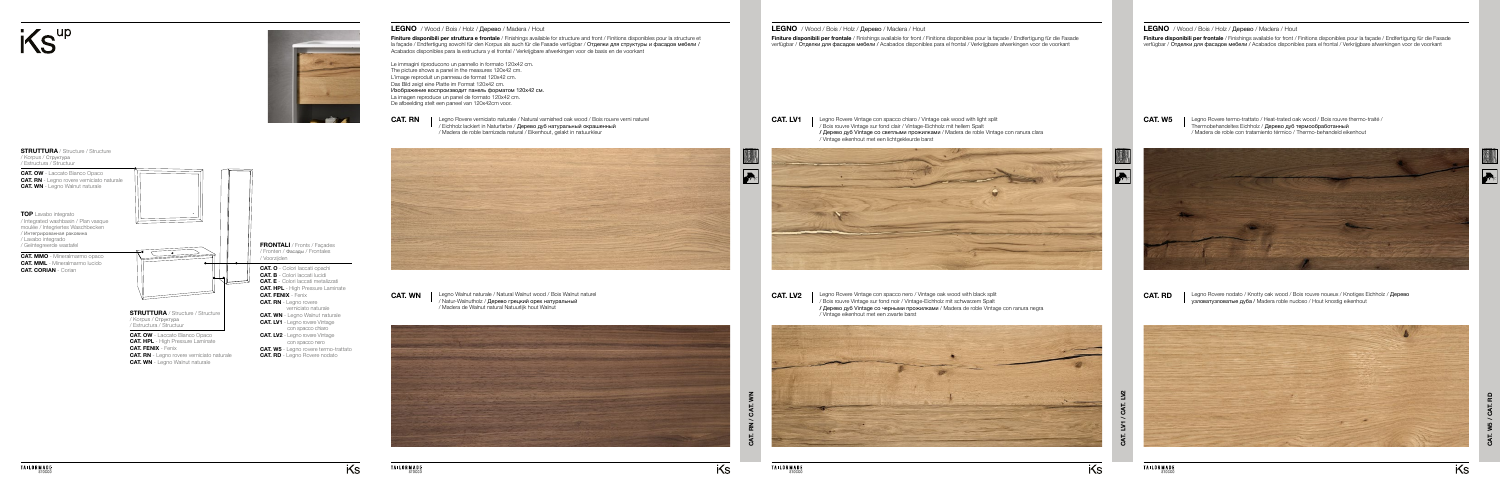**Finiture disponibili per frontale** / Finishings available for front / Finitions disponibles pour la façade / Endfertigung für die Fasade verfügbar / Отделки для фасадов мебели / Acabados disponibles para el frontal / Verkrijgbare afwerkingen voor de voorkant

**CAT. W5**

**CAT. RD**

Legno Rovere termo-trattato / Heat-trated oak wood / Bois rouvre thermo-traité / Thermobehandeltes Eichholz / Дерево дуб термообработанный / Madera de roble con tratamiento térmico / Thermo-behandeld eikenhout





Legno Rovere nodato / Knotty oak wood / Bois rouvre noueux / Knotiges Eichholz / Дерево узловатузловатые дубa / Madera roble nudoso / Hout knostig eikenhout

**CAT. LV1** | Legno Rovere Vintage con spacco chiaro / Vintage oak wood with light split / Bois rouvre Vintage sur fond clair / Vintage-Eichholz mit hellem Spalt **/** Дерево дуб Vintage со светлыми прожилками / Madera de roble Vintage con ranura clara / Vintage eikenhout met een lichtgekleurde barst



### **LEGNO** / Wood / Bois / Holz / Дерево / Madera / Hout



**CAT. LV2** | Legno Rovere Vintage con spacco nero / Vintage oak wood with black split / Bois rouvre Vintage sur fond noir / Vintage-Eichholz mit schwarzem Spalt **/** Дерево дуб Vintage со черными прожилками / Madera de roble Vintage con ranura negra / Vintage eikenhout met een zwarte barst







**Finiture disponibili per frontale** / Finishings available for front / Finitions disponibles pour la façade / Endfertigung für die Fasade verfügbar / Отделки для фасадов мебели / Acabados disponibles para el frontal / Verkrijgbare afwerkingen voor de voorkant

**CAT. RN / CAT. WN** - ඊ  $\overline{R}$ 

iKs

**CAT. RN** | Legno Rovere verniciato naturale / Natural varnished oak wood / Bois rouvre verni naturel / Eichholz lackiert in Naturfarbe / Дерево дуб натуральный окрашенный / Madera de roble barnizada natural / Eikenhout, gelakt in natuurkleur



**CAT. WN** | Legno Walnut naturale / Natural Walnut wood / Bois Walnut naturel / Natur-Walnutholz / Дерево грецкий орех натуральный / Madera de Walnut natural Natuurlijk hout Walnut



### **LEGNO** / Wood / Bois / Holz / Дерево / Madera / Hout

Le immagini riproducono un pannello in formato 120x42 cm. The picture shows a panel in the measures 120x42 cm. L'image reproduit un panneau de format 120x42 cm. Das Bild zeigt eine Platte im Format 120x42 cm. Изображение воспроизводит панель форматом 120х42 см. La imagen reproduce un panel de formato 120x42 cm. De afbeelding stelt een paneel van 120x42cm voor.

i<sup>KS"p</sup>



**Finiture disponibili per struttura e frontale** / Finishings available for structure and front / Finitions disponibles pour la structure et la façade / Endfertigung sowohl für den Korpus als auch für die Fasade verfügbar / Отделки для структуры и фасадов мебели / Acabados disponibles para la estructura y el frontal / Verkrijgbare afwerkingen voor de basis en de voorkant **LEGNO** / Wood / Bois / Holz / Дерево / Madera / Hout



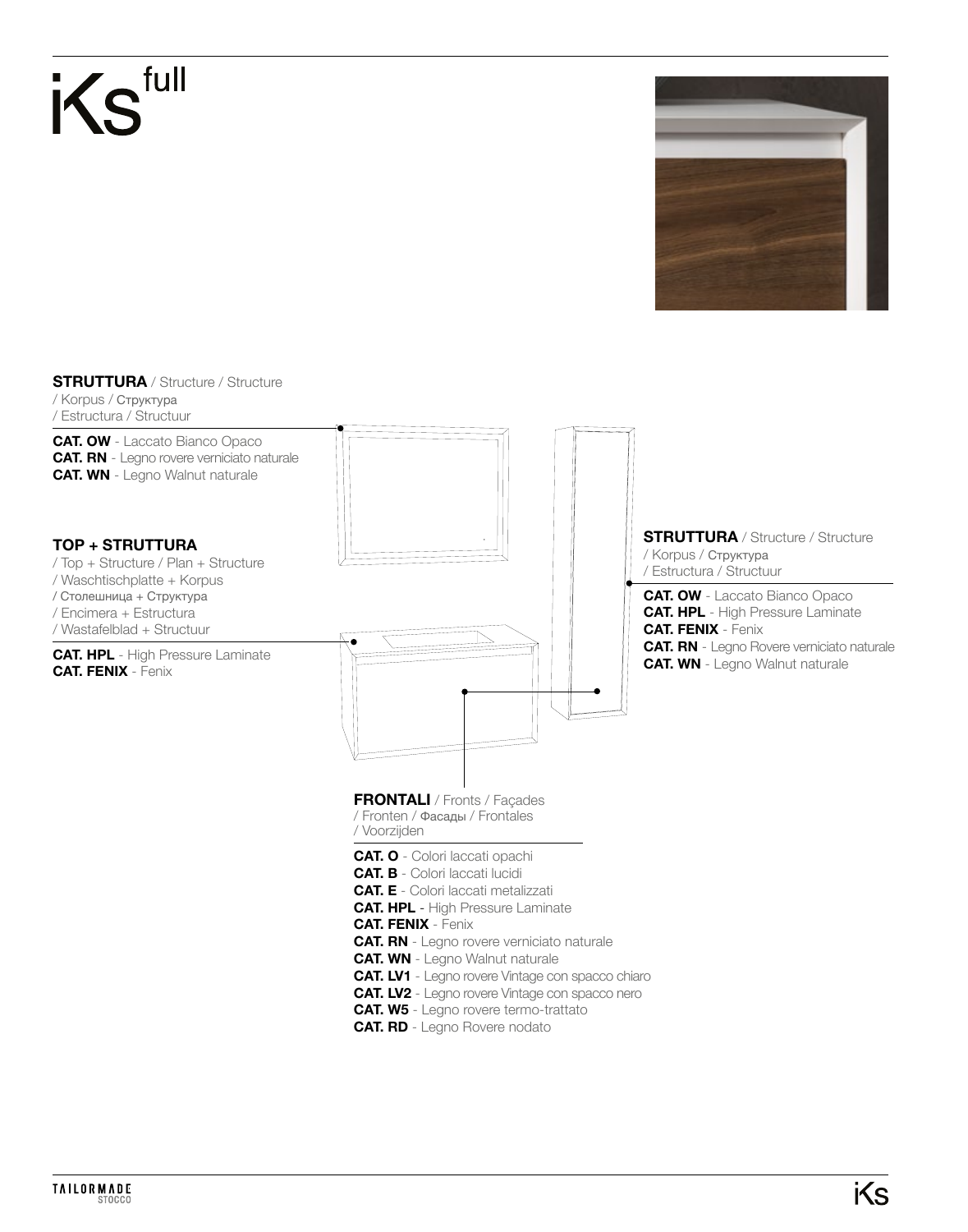



**STRUTTURA** / Structure / Structure / Korpus / Структура

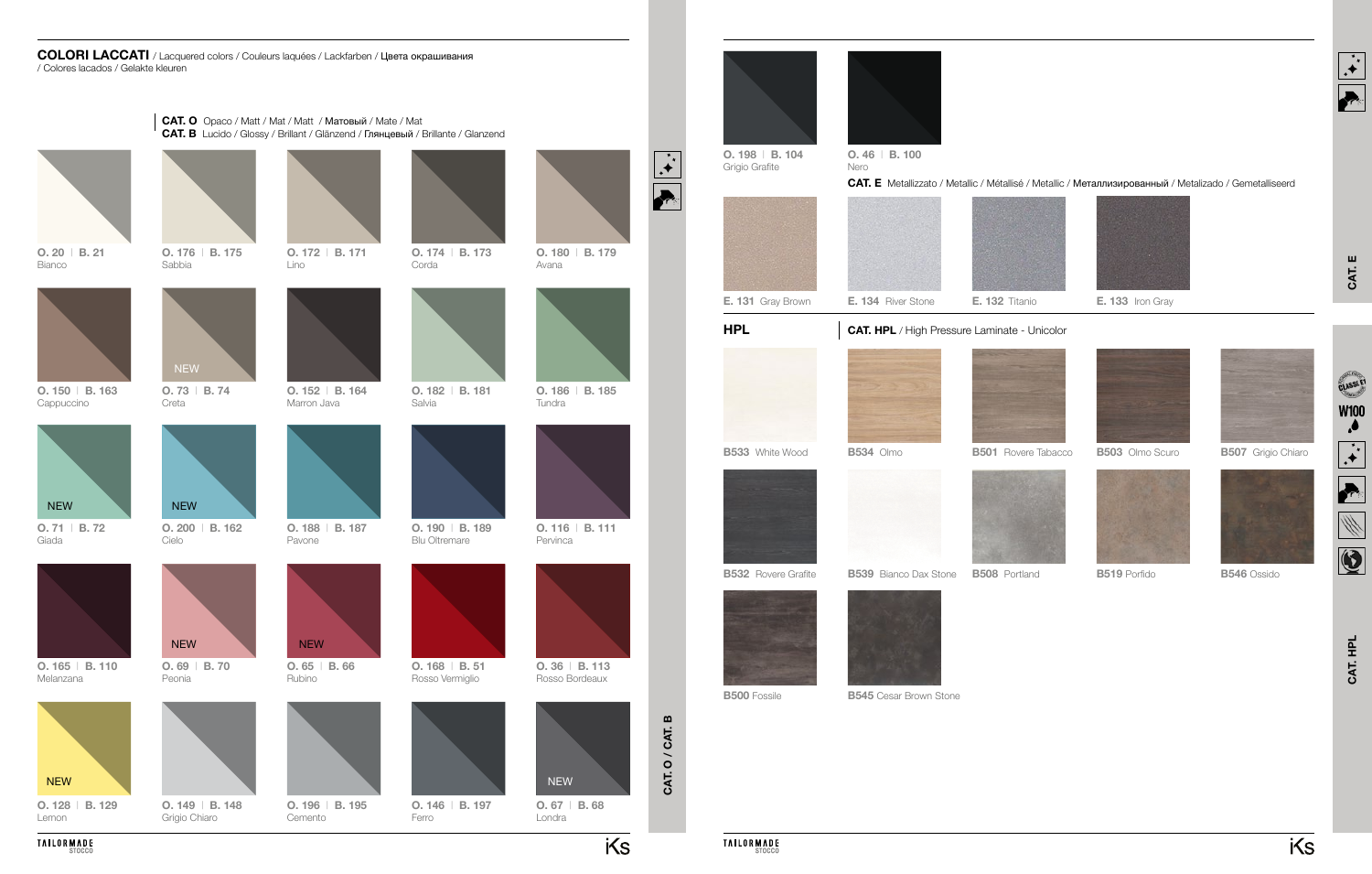**CAT. O / CAT. B**

CAT. O / CAT. B

### **COLORI LACCATI** / Lacquered colors / Couleurs laquées / Lackfarben / Цвета окрашивания / Colores lacados / Gelakte kleuren

**O. 20** | **B. 21** Bianco



**O. 150** | **B. 163** Cappuccino

**O. 128** | **B. 129** Lemon



**O. 71** | **B. 72** Giada



**O. 165** | **B. 110** Melanzana



**O. 149** | **B. 148** Grigio Chiaro



**O. 174** | **B. 173** Corda





CAT. HPL **CAT. HPL**

**O. 69** | **B. 70** Peonia

NEW



**O. 188** | **B. 187**

**O. 152** | **B. 164**

**O. 172** | **B. 171**

Cemento

Pavone

Marron Java

Lino



Rubino





**O. 190** | **B. 189** Blu Oltremare



**O. 182** | **B. 181** Salvia

Ferro

**O. 168** | **B. 51** Rosso Vermiglio

> **O. 67** | **B. 68** Londra

> > iKs



**O. 116** | **B. 111** Pervinca



**O. 186** | **B. 185** Tundra

Avana





**O. 36** | **B. 113** Rosso Bordeaux



**CAT. E**



### **CAT. E** Metallizzato / Metallic / Métallisé / Metallic / Металлизированный / Metalizado / Gemetalliseerd







**B503** Olmo Scuro



**B519** Porfido



**B507** Grigio Chiaro



**TAILORMADE** 





**B546** Ossido